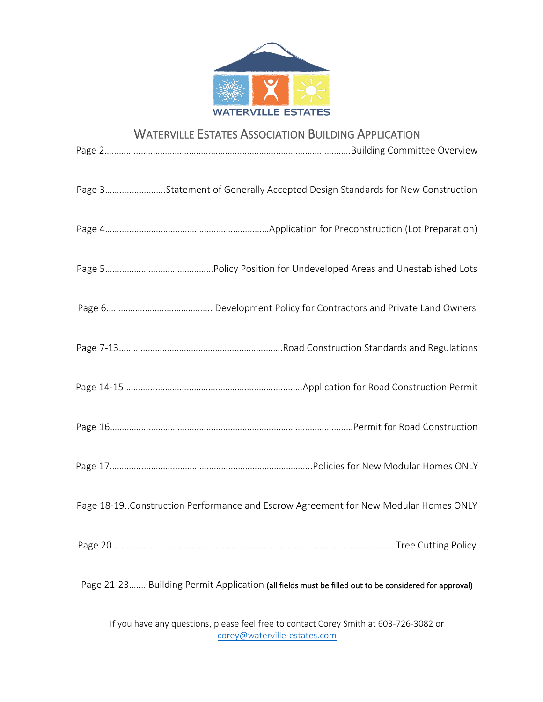

### WATERVILLE ESTATES ASSOCIATION BUILDING APPLICATION

| Page 3Statement of Generally Accepted Design Standards for New Construction                          |
|------------------------------------------------------------------------------------------------------|
|                                                                                                      |
|                                                                                                      |
|                                                                                                      |
|                                                                                                      |
|                                                                                                      |
|                                                                                                      |
|                                                                                                      |
| Page 18-19. Construction Performance and Escrow Agreement for New Modular Homes ONLY                 |
|                                                                                                      |
| Page 21-23 Building Permit Application (all fields must be filled out to be considered for approval) |
| If you have any questions, please feel free to contact Corey Smith at 603-726-3082 or                |

If you have any questions, please feel free to contact Corey Smith at 603-726-3082 or [corey@waterville-estates.com](mailto:corey@waterville-estates.com)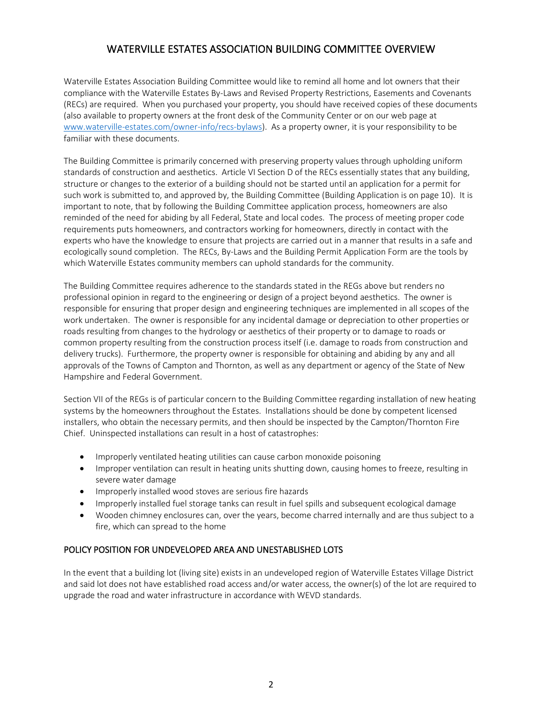### WATERVILLE ESTATES ASSOCIATION BUILDING COMMITTEE OVERVIEW

Waterville Estates Association Building Committee would like to remind all home and lot owners that their compliance with the Waterville Estates By-Laws and Revised Property Restrictions, Easements and Covenants (RECs) are required. When you purchased your property, you should have received copies of these documents (also available to property owners at the front desk of the Community Center or on our web page at [www.waterville-estates.com/owner-info/recs-bylaws\)](http://www.waterville-estates.com/owner-info/recs-bylaws). As a property owner, it is your responsibility to be familiar with these documents.

The Building Committee is primarily concerned with preserving property values through upholding uniform standards of construction and aesthetics. Article VI Section D of the RECs essentially states that any building, structure or changes to the exterior of a building should not be started until an application for a permit for such work is submitted to, and approved by, the Building Committee (Building Application is on page 10). It is important to note, that by following the Building Committee application process, homeowners are also reminded of the need for abiding by all Federal, State and local codes. The process of meeting proper code requirements puts homeowners, and contractors working for homeowners, directly in contact with the experts who have the knowledge to ensure that projects are carried out in a manner that results in a safe and ecologically sound completion. The RECs, By-Laws and the Building Permit Application Form are the tools by which Waterville Estates community members can uphold standards for the community.

The Building Committee requires adherence to the standards stated in the REGs above but renders no professional opinion in regard to the engineering or design of a project beyond aesthetics. The owner is responsible for ensuring that proper design and engineering techniques are implemented in all scopes of the work undertaken. The owner is responsible for any incidental damage or depreciation to other properties or roads resulting from changes to the hydrology or aesthetics of their property or to damage to roads or common property resulting from the construction process itself (i.e. damage to roads from construction and delivery trucks). Furthermore, the property owner is responsible for obtaining and abiding by any and all approvals of the Towns of Campton and Thornton, as well as any department or agency of the State of New Hampshire and Federal Government.

Section VII of the REGs is of particular concern to the Building Committee regarding installation of new heating systems by the homeowners throughout the Estates. Installations should be done by competent licensed installers, who obtain the necessary permits, and then should be inspected by the Campton/Thornton Fire Chief. Uninspected installations can result in a host of catastrophes:

- Improperly ventilated heating utilities can cause carbon monoxide poisoning
- Improper ventilation can result in heating units shutting down, causing homes to freeze, resulting in severe water damage
- Improperly installed wood stoves are serious fire hazards
- Improperly installed fuel storage tanks can result in fuel spills and subsequent ecological damage
- Wooden chimney enclosures can, over the years, become charred internally and are thus subject to a fire, which can spread to the home

#### POLICY POSITION FOR UNDEVELOPED AREA AND UNESTABLISHED LOTS

In the event that a building lot (living site) exists in an undeveloped region of Waterville Estates Village District and said lot does not have established road access and/or water access, the owner(s) of the lot are required to upgrade the road and water infrastructure in accordance with WEVD standards.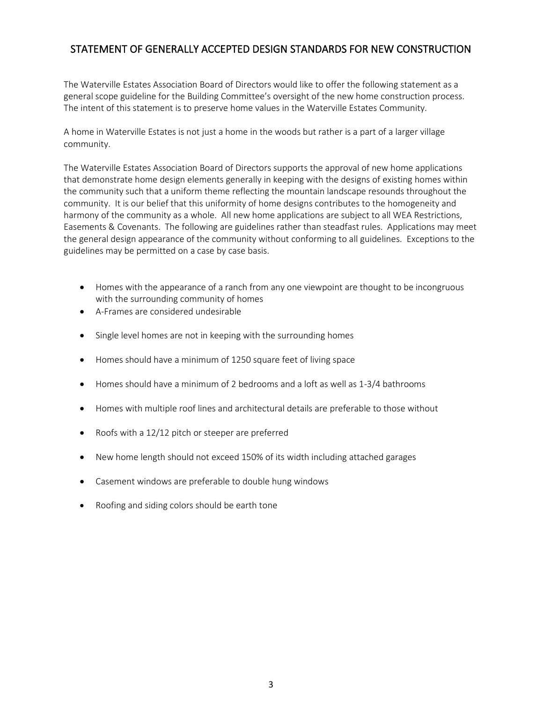### STATEMENT OF GENERALLY ACCEPTED DESIGN STANDARDS FOR NEW CONSTRUCTION

The Waterville Estates Association Board of Directors would like to offer the following statement as a general scope guideline for the Building Committee's oversight of the new home construction process. The intent of this statement is to preserve home values in the Waterville Estates Community.

A home in Waterville Estates is not just a home in the woods but rather is a part of a larger village community.

The Waterville Estates Association Board of Directors supports the approval of new home applications that demonstrate home design elements generally in keeping with the designs of existing homes within the community such that a uniform theme reflecting the mountain landscape resounds throughout the community. It is our belief that this uniformity of home designs contributes to the homogeneity and harmony of the community as a whole. All new home applications are subject to all WEA Restrictions, Easements & Covenants. The following are guidelines rather than steadfast rules. Applications may meet the general design appearance of the community without conforming to all guidelines. Exceptions to the guidelines may be permitted on a case by case basis.

- Homes with the appearance of a ranch from any one viewpoint are thought to be incongruous with the surrounding community of homes
- A-Frames are considered undesirable
- Single level homes are not in keeping with the surrounding homes
- Homes should have a minimum of 1250 square feet of living space
- Homes should have a minimum of 2 bedrooms and a loft as well as 1-3/4 bathrooms
- Homes with multiple roof lines and architectural details are preferable to those without
- Roofs with a 12/12 pitch or steeper are preferred
- New home length should not exceed 150% of its width including attached garages
- Casement windows are preferable to double hung windows
- Roofing and siding colors should be earth tone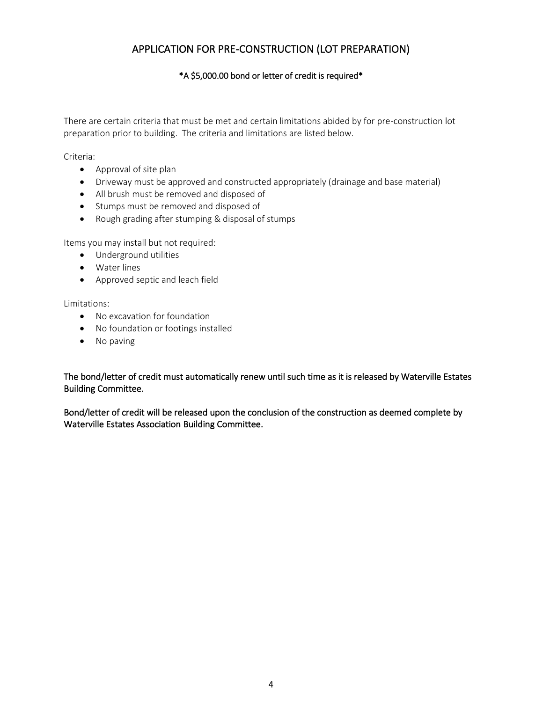### APPLICATION FOR PRE-CONSTRUCTION (LOT PREPARATION)

### \*A \$5,000.00 bond or letter of credit is required\*

There are certain criteria that must be met and certain limitations abided by for pre-construction lot preparation prior to building. The criteria and limitations are listed below.

Criteria:

- Approval of site plan
- Driveway must be approved and constructed appropriately (drainage and base material)
- All brush must be removed and disposed of
- Stumps must be removed and disposed of
- Rough grading after stumping & disposal of stumps

Items you may install but not required:

- Underground utilities
- Water lines
- Approved septic and leach field

Limitations:

- No excavation for foundation
- No foundation or footings installed
- No paving

The bond/letter of credit must automatically renew until such time as it is released by Waterville Estates Building Committee.

Bond/letter of credit will be released upon the conclusion of the construction as deemed complete by Waterville Estates Association Building Committee.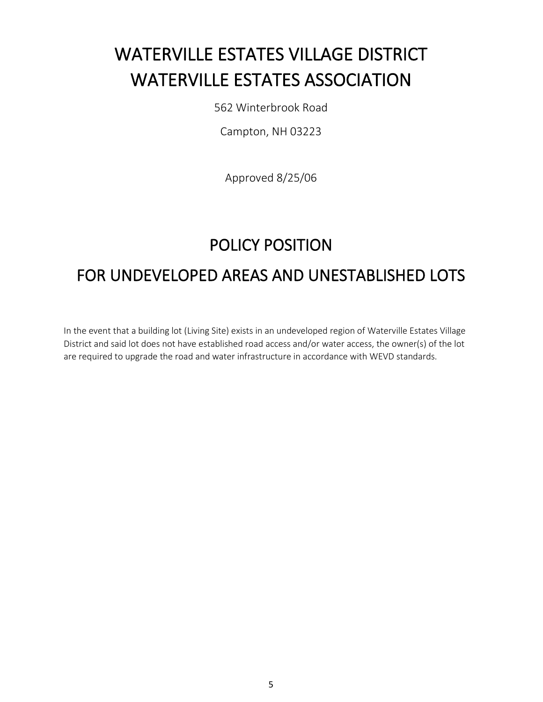# WATERVILLE ESTATES VILLAGE DISTRICT WATERVILLE ESTATES ASSOCIATION

562 Winterbrook Road

Campton, NH 03223

Approved 8/25/06

## POLICY POSITION

# FOR UNDEVELOPED AREAS AND UNESTABLISHED LOTS

In the event that a building lot (Living Site) exists in an undeveloped region of Waterville Estates Village District and said lot does not have established road access and/or water access, the owner(s) of the lot are required to upgrade the road and water infrastructure in accordance with WEVD standards.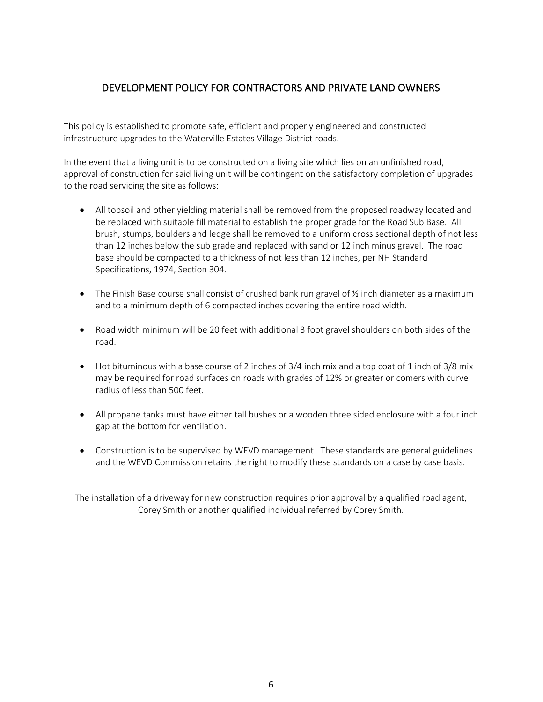### DEVELOPMENT POLICY FOR CONTRACTORS AND PRIVATE LAND OWNERS

This policy is established to promote safe, efficient and properly engineered and constructed infrastructure upgrades to the Waterville Estates Village District roads.

In the event that a living unit is to be constructed on a living site which lies on an unfinished road, approval of construction for said living unit will be contingent on the satisfactory completion of upgrades to the road servicing the site as follows:

- All topsoil and other yielding material shall be removed from the proposed roadway located and be replaced with suitable fill material to establish the proper grade for the Road Sub Base. All brush, stumps, boulders and ledge shall be removed to a uniform cross sectional depth of not less than 12 inches below the sub grade and replaced with sand or 12 inch minus gravel. The road base should be compacted to a thickness of not less than 12 inches, per NH Standard Specifications, 1974, Section 304.
- The Finish Base course shall consist of crushed bank run gravel of  $\frac{1}{2}$  inch diameter as a maximum and to a minimum depth of 6 compacted inches covering the entire road width.
- Road width minimum will be 20 feet with additional 3 foot gravel shoulders on both sides of the road.
- Hot bituminous with a base course of 2 inches of 3/4 inch mix and a top coat of 1 inch of 3/8 mix may be required for road surfaces on roads with grades of 12% or greater or comers with curve radius of less than 500 feet.
- All propane tanks must have either tall bushes or a wooden three sided enclosure with a four inch gap at the bottom for ventilation.
- Construction is to be supervised by WEVD management. These standards are general guidelines and the WEVD Commission retains the right to modify these standards on a case by case basis.

The installation of a driveway for new construction requires prior approval by a qualified road agent, Corey Smith or another qualified individual referred by Corey Smith.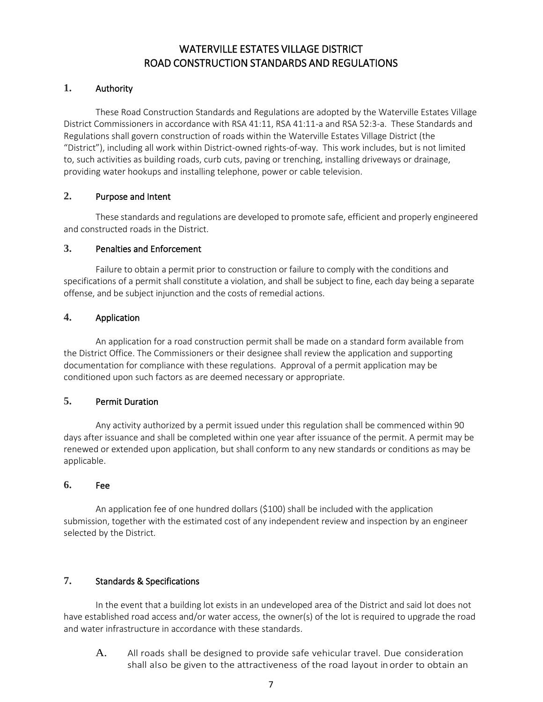### WATERVILLE ESTATES VILLAGE DISTRICT ROAD CONSTRUCTION STANDARDS AND REGULATIONS

### **1.** Authority

These Road Construction Standards and Regulations are adopted by the Waterville Estates Village District Commissioners in accordance with RSA 41:11, RSA 41:11-a and RSA 52:3-a. These Standards and Regulations shall govern construction of roads within the Waterville Estates Village District (the "District"), including all work within District-owned rights-of-way. This work includes, but is not limited to, such activities as building roads, curb cuts, paving or trenching, installing driveways or drainage, providing water hookups and installing telephone, power or cable television.

### **2.** Purpose and Intent

These standards and regulations are developed to promote safe, efficient and properly engineered and constructed roads in the District.

### **3.** Penalties and Enforcement

Failure to obtain a permit prior to construction or failure to comply with the conditions and specifications of a permit shall constitute a violation, and shall be subject to fine, each day being a separate offense, and be subject injunction and the costs of remedial actions.

### **4.** Application

An application for a road construction permit shall be made on a standard form available from the District Office. The Commissioners or their designee shall review the application and supporting documentation for compliance with these regulations. Approval of a permit application may be conditioned upon such factors as are deemed necessary or appropriate.

### **5.** Permit Duration

Any activity authorized by a permit issued under this regulation shall be commenced within 90 days after issuance and shall be completed within one year after issuance of the permit. A permit may be renewed or extended upon application, but shall conform to any new standards or conditions as may be applicable.

### **6.** Fee

An application fee of one hundred dollars (\$100) shall be included with the application submission, together with the estimated cost of any independent review and inspection by an engineer selected by the District.

### **7.** Standards & Specifications

In the event that a building lot exists in an undeveloped area of the District and said lot does not have established road access and/or water access, the owner(s) of the lot is required to upgrade the road and water infrastructure in accordance with these standards.

A. All roads shall be designed to provide safe vehicular travel. Due consideration shall also be given to the attractiveness of the road layout in order to obtain an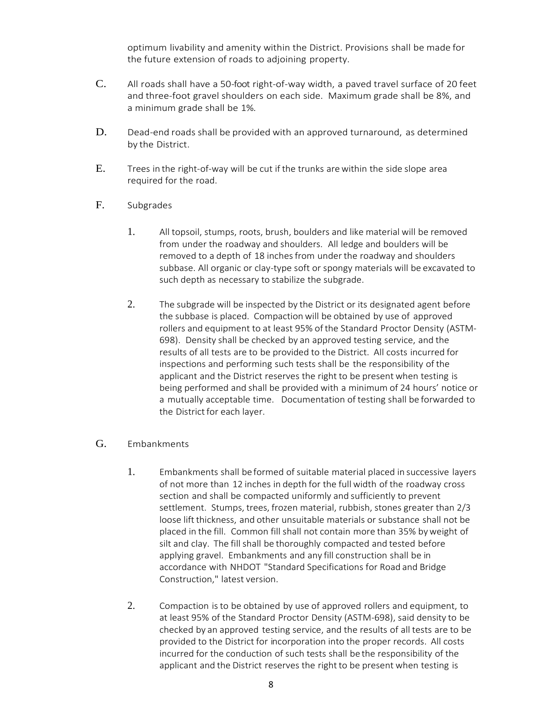optimum livability and amenity within the District. Provisions shall be made for the future extension of roads to adjoining property.

- C. All roads shall have a 50-foot right-of-way width, a paved travel surface of 20 feet and three-foot gravel shoulders on each side. Maximum grade shall be 8%, and a minimum grade shall be 1%.
- D. Dead-end roads shall be provided with an approved turnaround, as determined by the District.
- E. Trees in the right-of-way will be cut if the trunks arewithin the side slope area required for the road.
- F. Subgrades
	- 1. All topsoil, stumps, roots, brush, boulders and like material will be removed from under the roadway and shoulders. All ledge and boulders will be removed to a depth of 18 inches from under the roadway and shoulders subbase. All organic or clay-type soft or spongy materials will be excavated to such depth as necessary to stabilize the subgrade.
	- 2. The subgrade will be inspected by the District or its designated agent before the subbase is placed. Compactionwill be obtained by use of approved rollers and equipment to at least 95% of the Standard Proctor Density (ASTM-698). Density shall be checked by an approved testing service, and the results of all tests are to be provided to the District. All costs incurred for inspections and performing such tests shall be the responsibility of the applicant and the District reserves the right to be present when testing is being performed and shall be provided with a minimum of 24 hours' notice or a mutually acceptable time. Documentation of testing shall be forwarded to the District for each layer.

#### G. Embankments

- 1. Embankments shall be formed of suitable material placed in successive layers of not more than 12 inches in depth for the full width of the roadway cross section and shall be compacted uniformly and sufficiently to prevent settlement. Stumps, trees, frozen material, rubbish, stones greater than 2/3 loose lift thickness, and other unsuitable materials or substance shall not be placed in the fill. Common fill shall not contain more than 35% byweight of silt and clay. The fill shall be thoroughly compacted and tested before applying gravel. Embankments and any fill construction shall be in accordance with NHDOT "Standard Specifications for Road and Bridge Construction," latest version.
- 2. Compaction isto be obtained by use of approved rollers and equipment, to at least 95% of the Standard Proctor Density (ASTM-698), said density to be checked by an approved testing service, and the results of all tests are to be provided to the District for incorporation into the proper records. All costs incurred for the conduction of such tests shall be the responsibility of the applicant and the District reserves the right to be present when testing is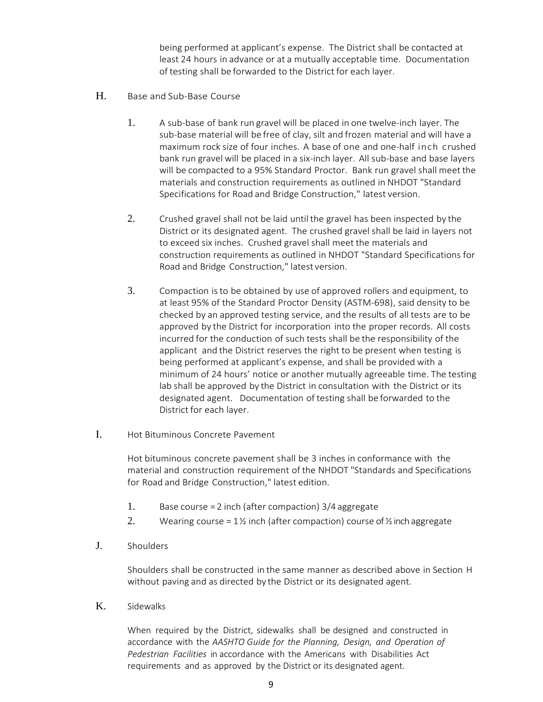being performed at applicant's expense. The District shall be contacted at least 24 hours in advance or at a mutually acceptable time. Documentation of testing shall be forwarded to the District for each layer.

- H. Base and Sub-Base Course
	- 1. A sub-base of bank run gravel will be placed in one twelve-inch layer. The sub-base material will be free of clay, silt and frozen material and will have a maximum rock size of four inches. A base of one and one-half inch crushed bank run gravel will be placed in a six-inch layer. All sub-base and base layers will be compacted to a 95% Standard Proctor. Bank run gravel shall meet the materials and construction requirements as outlined in NHDOT "Standard Specifications for Road and Bridge Construction," latest version.
	- 2. Crushed gravel shall not be laid until the gravel has been inspected by the District or its designated agent. The crushed gravel shall be laid in layers not to exceed six inches. Crushed gravel shall meet the materials and construction requirements as outlined in NHDOT "Standard Specifications for Road and Bridge Construction," latest version.
	- 3. Compaction isto be obtained by use of approved rollers and equipment, to at least 95% of the Standard Proctor Density (ASTM-698), said density to be checked by an approved testing service, and the results of all tests are to be approved by the District for incorporation into the proper records. All costs incurred for the conduction of such tests shall be the responsibility of the applicant and the District reserves the right to be present when testing is being performed at applicant's expense, and shall be provided with a minimum of 24 hours' notice or another mutually agreeable time. The testing lab shall be approved by the District in consultation with the District or its designated agent. Documentation of testing shall be forwarded to the District for each layer.
- I. Hot Bituminous Concrete Pavement

Hot bituminous concrete pavement shall be 3 inches in conformance with the material and construction requirement of the NHDOT "Standards and Specifications for Road and Bridge Construction," latest edition.

- 1. Base course = 2 inch (after compaction) 3/4 aggregate
- 2. Wearing course =  $1\frac{1}{2}$  inch (after compaction) course of  $\frac{1}{2}$  inch aggregate
- J. Shoulders

Shoulders shall be constructed in the same manner as described above in Section H without paving and as directed by the District or its designated agent.

K. Sidewalks

When required by the District, sidewalks shall be designed and constructed in accordance with the *AASHTO Guide for the Planning, Design, and Operation of Pedestrian Facilities* in accordance with the Americans with Disabilities Act requirements and as approved by the District or its designated agent.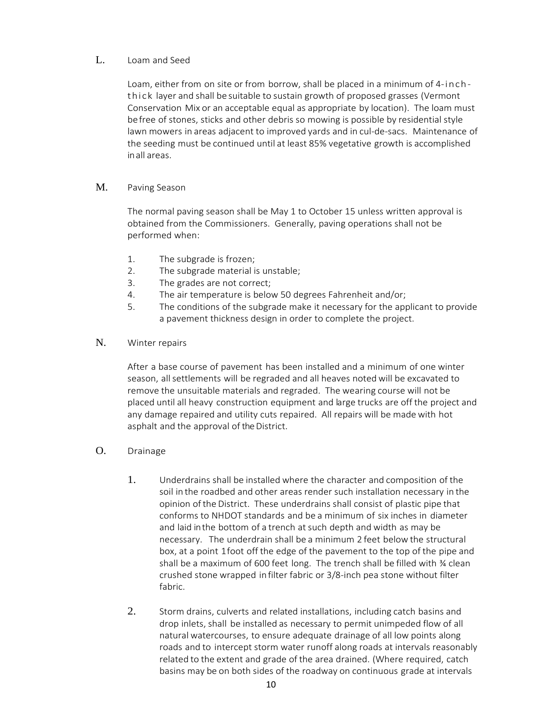### L. Loam and Seed

Loam, either from on site or from borrow, shall be placed in a minimum of 4-inchthick layer and shall be suitable to sustain growth of proposed grasses (Vermont Conservation Mix or an acceptable equal as appropriate by location). The loam must befree of stones, sticks and other debris so mowing is possible by residential style lawn mowers in areas adjacent to improved yards and in cul-de-sacs. Maintenance of the seeding must be continued until at least 85% vegetative growth is accomplished inall areas.

#### M. Paving Season

The normal paving season shall be May 1 to October 15 unless written approval is obtained from the Commissioners. Generally, paving operations shall not be performed when:

- 1. The subgrade is frozen;
- 2. The subgrade material is unstable;
- 3. The grades are not correct;
- 4. The air temperature is below 50 degrees Fahrenheit and/or;
- 5. The conditions of the subgrade make it necessary for the applicant to provide a pavement thickness design in order to complete the project.
- N. Winter repairs

 After a base course of pavement has been installed and a minimum of one winter season, allsettlements will be regraded and all heaves notedwill be excavated to remove the unsuitable materials and regraded. The wearing course will not be placed until all heavy construction equipment and large trucks are off the project and any damage repaired and utility cuts repaired. All repairs will be made with hot asphalt and the approval of the District.

- O. Drainage
	- 1. Underdrains shall be installed where the character and composition of the soil in the roadbed and other areas render such installation necessary in the opinion ofthe District. These underdrains shall consist of plastic pipe that conforms to NHDOT standards and be a minimum of six inches in diameter and laid in the bottom of a trench at such depth and width as may be necessary. The underdrain shall be a minimum 2 feet below the structural box, at a point 1foot off the edge of the pavement to the top of the pipe and shall be a maximum of 600 feet long. The trench shall be filled with ¾ clean crushed stone wrapped infilter fabric or 3/8-inch pea stone without filter fabric.
	- 2. Storm drains, culverts and related installations, including catch basins and drop inlets, shall be installed as necessary to permit unimpeded flow of all natural watercourses, to ensure adequate drainage of all low points along roads and to intercept storm water runoff along roads at intervals reasonably related to the extent and grade of the area drained. (Where required, catch basins may be on both sides of the roadway on continuous grade at intervals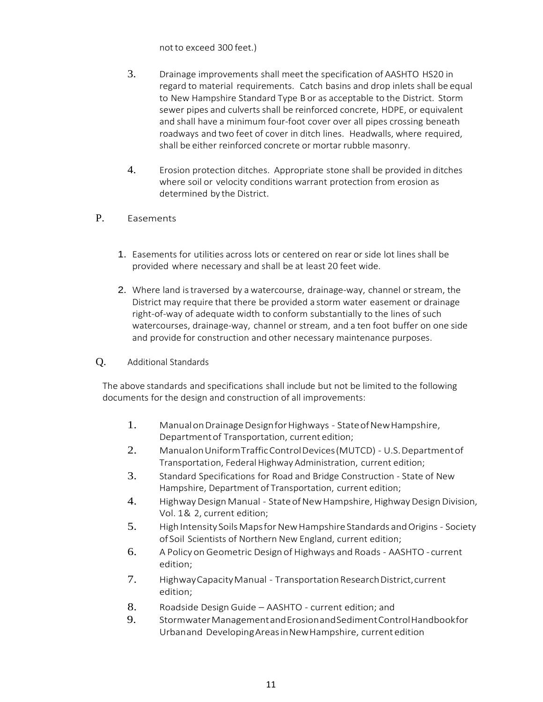notto exceed 300 feet.)

- 3. Drainage improvements shall meet the specification of AASHTO HS20 in regard to material requirements. Catch basins and drop inlets shall be equal to New Hampshire Standard Type B or as acceptable to the District. Storm sewer pipes and culverts shall be reinforced concrete, HDPE, or equivalent and shall have a minimum four-foot cover over all pipes crossing beneath roadways and two feet of cover in ditch lines. Headwalls, where required, shall be either reinforced concrete or mortar rubble masonry.
- 4. Erosion protection ditches. Appropriate stone shall be provided in ditches where soil or velocity conditions warrant protection from erosion as determined by the District.
- P. Easements
	- 1. Easements for utilities across lots or centered on rear or side lot lines shall be provided where necessary and shall be at least 20 feet wide.
	- 2. Where land is traversed by a watercourse, drainage-way, channel or stream, the District may require that there be provided a storm water easement or drainage right-of-way of adequate width to conform substantially to the lines of such watercourses, drainage-way, channel or stream, and a ten foot buffer on one side and provide for construction and other necessary maintenance purposes.
- Q. Additional Standards

The above standards and specifications shall include but not be limited to the following documents for the design and construction of all improvements:

- 1. Manual on Drainage Design for Highways State of New Hampshire, Departmentof Transportation, current edition;
- 2. ManualonUniformTrafficControlDevices(MUTCD) U.S.Departmentof Transportation, Federal Highway Administration, current edition;
- 3. Standard Specifications for Road and Bridge Construction State of New Hampshire, Department of Transportation, current edition;
- 4. Highway Design Manual State of New Hampshire, Highway Design Division, Vol. 1& 2, current edition;
- 5. High Intensity Soils Maps for New Hampshire Standards and Origins Society of Soil Scientists of Northern New England, current edition;
- 6. A Policy on Geometric Design of Highways and Roads AASHTO current edition;
- 7. Highway Capacity Manual Transportation Research District, current edition;
- 8. Roadside Design Guide AASHTO current edition; and
- 9. StormwaterManagementandErosionandSedimentControlHandbookfor Urbanand DevelopingAreasinNewHampshire, currentedition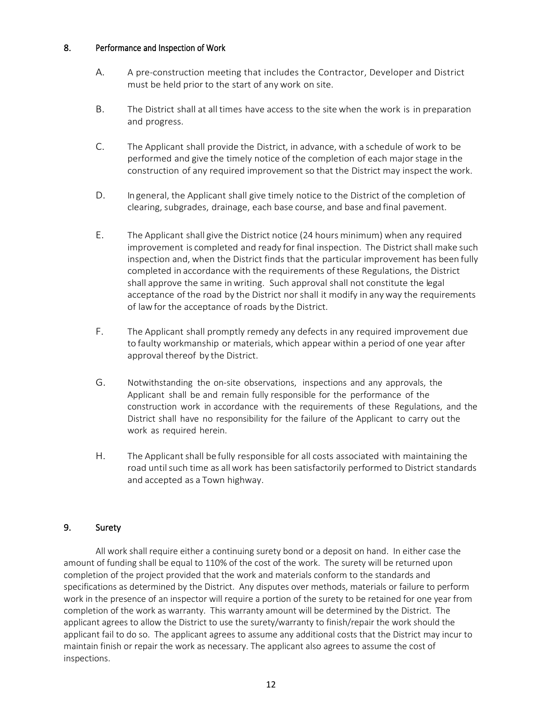#### 8. Performance and Inspection of Work

- A. A pre-construction meeting that includes the Contractor, Developer and District must be held prior to the start of any work on site.
- B. The District shall at all times have access to the sitewhen the work is in preparation and progress.
- C. The Applicant shall provide the District, in advance, with a schedule of work to be performed and give the timely notice of the completion of each majorstage in the construction of any required improvement so that the District may inspect the work.
- D. Ingeneral, the Applicant shall give timely notice to the District of the completion of clearing, subgrades, drainage, each base course, and base and final pavement.
- E. The Applicant shall give the District notice (24 hours minimum) when any required improvement is completed and ready for final inspection. The District shall make such inspection and, when the District finds that the particular improvement has been fully completed in accordance with the requirements of these Regulations, the District shall approve the same inwriting. Such approval shall not constitute the legal acceptance of the road by the District nor shall it modify in anyway the requirements of lawfor the acceptance of roads by the District.
- F. The Applicant shall promptly remedy any defects in any required improvement due to faulty workmanship or materials, which appear within a period of one year after approval thereof by the District.
- G. Notwithstanding the on-site observations, inspections and any approvals, the Applicant shall be and remain fully responsible for the performance of the construction work in accordance with the requirements of these Regulations, and the District shall have no responsibility for the failure of the Applicant to carry out the work as required herein.
- H. The Applicantshall be fully responsible for all costs associated with maintaining the road untilsuch time as allwork has been satisfactorily performed to District standards and accepted as a Town highway.

### 9. Surety

All work shall require either a continuing surety bond or a deposit on hand. In either case the amount of funding shall be equal to 110% of the cost of the work. The surety will be returned upon completion of the project provided that the work and materials conform to the standards and specifications as determined by the District. Any disputes over methods, materials or failure to perform work in the presence of an inspector will require a portion of the surety to be retained for one year from completion of the work as warranty. This warranty amount will be determined by the District. The applicant agrees to allow the District to use the surety/warranty to finish/repair the work should the applicant fail to do so. The applicant agrees to assume any additional costs that the District may incur to maintain finish or repair the work as necessary. The applicant also agrees to assume the cost of inspections.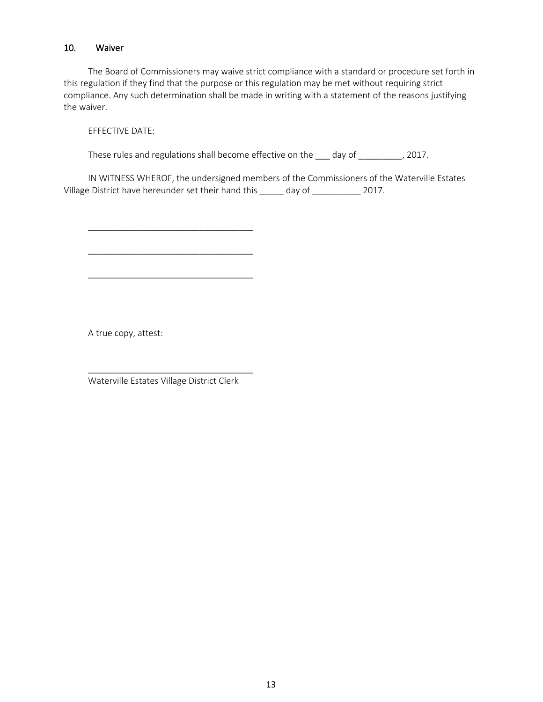#### 10. Waiver

The Board of Commissioners may waive strict compliance with a standard or procedure set forth in this regulation if they find that the purpose or this regulation may be met without requiring strict compliance. Any such determination shall be made in writing with a statement of the reasons justifying the waiver.

EFFECTIVE DATE:

These rules and regulations shall become effective on the  $\_\_\_$  day of  $\_\_\_\_\_$ , 2017.

IN WITNESS WHEROF, the undersigned members of the Commissioners of the Waterville Estates Village District have hereunder set their hand this \_\_\_\_\_ day of \_\_\_\_\_\_\_\_\_\_\_ 2017.

A true copy, attest:

\_\_\_\_\_\_\_\_\_\_\_\_\_\_\_\_\_\_\_\_\_\_\_\_\_\_\_\_\_\_\_\_\_\_ Waterville Estates Village District Clerk

\_\_\_\_\_\_\_\_\_\_\_\_\_\_\_\_\_\_\_\_\_\_\_\_\_\_\_\_\_\_\_\_\_\_

\_\_\_\_\_\_\_\_\_\_\_\_\_\_\_\_\_\_\_\_\_\_\_\_\_\_\_\_\_\_\_\_\_\_

\_\_\_\_\_\_\_\_\_\_\_\_\_\_\_\_\_\_\_\_\_\_\_\_\_\_\_\_\_\_\_\_\_\_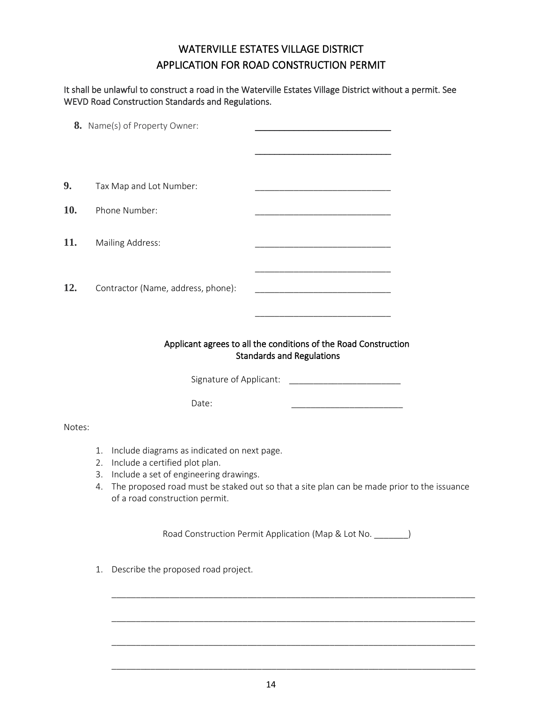### WATERVILLE ESTATES VILLAGE DISTRICT APPLICATION FOR ROAD CONSTRUCTION PERMIT

### It shall be unlawful to construct a road in the Waterville Estates Village District without a permit. See WEVD Road Construction Standards and Regulations.

|        | 8. Name(s) of Property Owner:                                                                                                                                                     |                                                                                                                               |
|--------|-----------------------------------------------------------------------------------------------------------------------------------------------------------------------------------|-------------------------------------------------------------------------------------------------------------------------------|
|        |                                                                                                                                                                                   |                                                                                                                               |
|        |                                                                                                                                                                                   |                                                                                                                               |
| 9.     | Tax Map and Lot Number:                                                                                                                                                           | <u> 1989 - Johann John Stone, mars et al. 1989 - John Stone, mars et al. 1989 - John Stone, mars et al. 1989 - John Stone</u> |
| 10.    | Phone Number:                                                                                                                                                                     |                                                                                                                               |
| 11.    | Mailing Address:                                                                                                                                                                  |                                                                                                                               |
| 12.    | Contractor (Name, address, phone):                                                                                                                                                |                                                                                                                               |
|        |                                                                                                                                                                                   | Applicant agrees to all the conditions of the Road Construction<br><b>Standards and Regulations</b>                           |
|        | Signature of Applicant:                                                                                                                                                           |                                                                                                                               |
|        | Date:                                                                                                                                                                             | <u> 1989 - Johann John Stone, mars et al. (</u>                                                                               |
| Notes: |                                                                                                                                                                                   |                                                                                                                               |
|        | Include diagrams as indicated on next page.<br>1.<br>Include a certified plot plan.<br>2.<br>Include a set of engineering drawings.<br>3.<br>4.<br>of a road construction permit. | The proposed road must be staked out so that a site plan can be made prior to the issuance                                    |
|        |                                                                                                                                                                                   | Road Construction Permit Application (Map & Lot No. _______)                                                                  |
|        | Describe the proposed road project.<br>1.                                                                                                                                         |                                                                                                                               |
|        |                                                                                                                                                                                   |                                                                                                                               |

\_\_\_\_\_\_\_\_\_\_\_\_\_\_\_\_\_\_\_\_\_\_\_\_\_\_\_\_\_\_\_\_\_\_\_\_\_\_\_\_\_\_\_\_\_\_\_\_\_\_\_\_\_\_\_\_\_\_\_\_\_\_\_\_\_\_\_\_\_\_\_\_\_\_\_

\_\_\_\_\_\_\_\_\_\_\_\_\_\_\_\_\_\_\_\_\_\_\_\_\_\_\_\_\_\_\_\_\_\_\_\_\_\_\_\_\_\_\_\_\_\_\_\_\_\_\_\_\_\_\_\_\_\_\_\_\_\_\_\_\_\_\_\_\_\_\_\_\_\_\_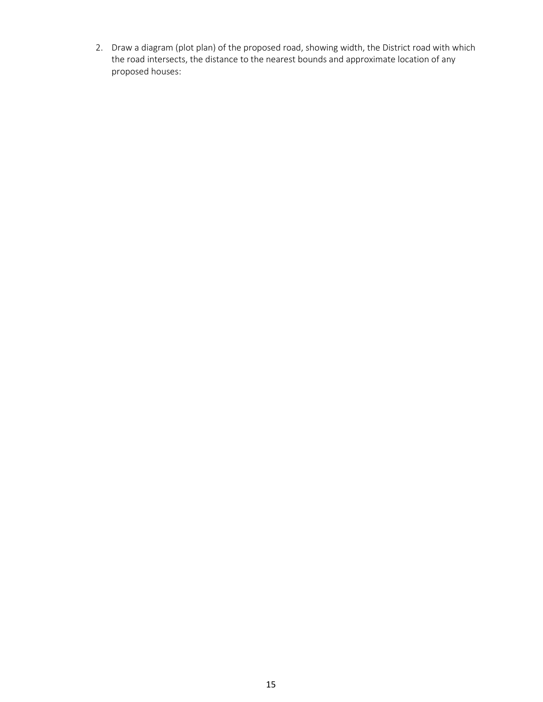2. Draw a diagram (plot plan) of the proposed road, showing width, the District road with which the road intersects, the distance to the nearest bounds and approximate location of any proposed houses: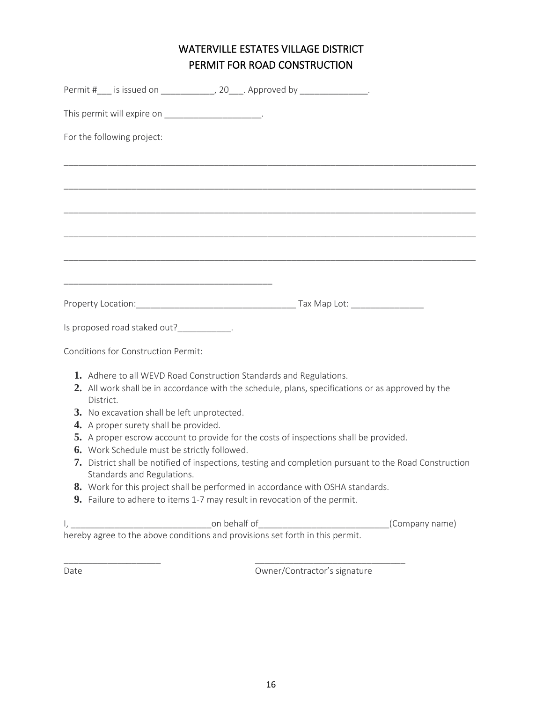### WATERVILLE ESTATES VILLAGE DISTRICT PERMIT FOR ROAD CONSTRUCTION

|           | Permit #___ is issued on _______________, 20____. Approved by _________________.                                                                                                                                       |  |                                                                                                        |
|-----------|------------------------------------------------------------------------------------------------------------------------------------------------------------------------------------------------------------------------|--|--------------------------------------------------------------------------------------------------------|
|           | This permit will expire on _______________________.                                                                                                                                                                    |  |                                                                                                        |
|           | For the following project:                                                                                                                                                                                             |  |                                                                                                        |
|           |                                                                                                                                                                                                                        |  |                                                                                                        |
|           |                                                                                                                                                                                                                        |  |                                                                                                        |
|           |                                                                                                                                                                                                                        |  |                                                                                                        |
|           |                                                                                                                                                                                                                        |  |                                                                                                        |
|           |                                                                                                                                                                                                                        |  |                                                                                                        |
|           |                                                                                                                                                                                                                        |  |                                                                                                        |
|           | Is proposed road staked out?____________.                                                                                                                                                                              |  |                                                                                                        |
|           | Conditions for Construction Permit:                                                                                                                                                                                    |  |                                                                                                        |
| District. | 1. Adhere to all WEVD Road Construction Standards and Regulations.<br>2. All work shall be in accordance with the schedule, plans, specifications or as approved by the<br>3. No excavation shall be left unprotected. |  |                                                                                                        |
|           | 4. A proper surety shall be provided.                                                                                                                                                                                  |  |                                                                                                        |
|           | 5. A proper escrow account to provide for the costs of inspections shall be provided.                                                                                                                                  |  |                                                                                                        |
|           | 6. Work Schedule must be strictly followed.<br>Standards and Regulations.                                                                                                                                              |  | 7. District shall be notified of inspections, testing and completion pursuant to the Road Construction |
|           | 8. Work for this project shall be performed in accordance with OSHA standards.                                                                                                                                         |  |                                                                                                        |
|           | 9. Failure to adhere to items 1-7 may result in revocation of the permit.                                                                                                                                              |  |                                                                                                        |
|           |                                                                                                                                                                                                                        |  | (Company name)                                                                                         |
|           |                                                                                                                                                                                                                        |  |                                                                                                        |

Date **Date Owner/Contractor's signature** 

\_\_\_\_\_\_\_\_\_\_\_\_\_\_\_\_\_\_\_\_ \_\_\_\_\_\_\_\_\_\_\_\_\_\_\_\_\_\_\_\_\_\_\_\_\_\_\_\_\_\_\_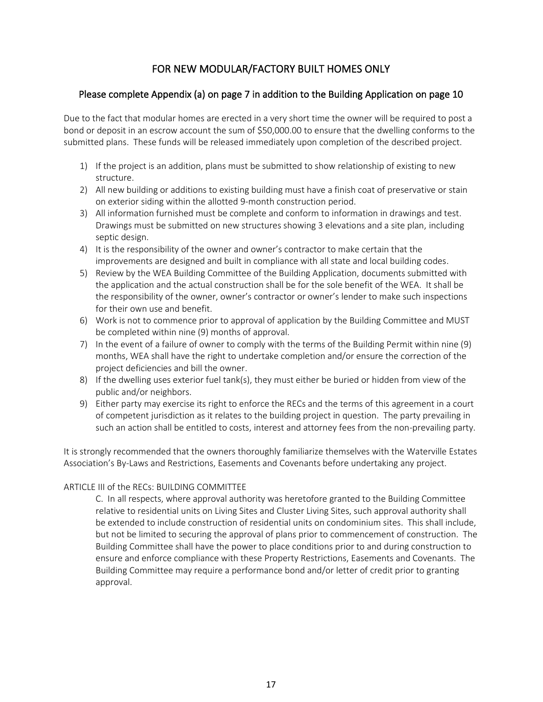### FOR NEW MODULAR/FACTORY BUILT HOMES ONLY

### Please complete Appendix (a) on page 7 in addition to the Building Application on page 10

Due to the fact that modular homes are erected in a very short time the owner will be required to post a bond or deposit in an escrow account the sum of \$50,000.00 to ensure that the dwelling conforms to the submitted plans. These funds will be released immediately upon completion of the described project.

- 1) If the project is an addition, plans must be submitted to show relationship of existing to new structure.
- 2) All new building or additions to existing building must have a finish coat of preservative or stain on exterior siding within the allotted 9-month construction period.
- 3) All information furnished must be complete and conform to information in drawings and test. Drawings must be submitted on new structures showing 3 elevations and a site plan, including septic design.
- 4) It is the responsibility of the owner and owner's contractor to make certain that the improvements are designed and built in compliance with all state and local building codes.
- 5) Review by the WEA Building Committee of the Building Application, documents submitted with the application and the actual construction shall be for the sole benefit of the WEA. It shall be the responsibility of the owner, owner's contractor or owner's lender to make such inspections for their own use and benefit.
- 6) Work is not to commence prior to approval of application by the Building Committee and MUST be completed within nine (9) months of approval.
- 7) In the event of a failure of owner to comply with the terms of the Building Permit within nine (9) months, WEA shall have the right to undertake completion and/or ensure the correction of the project deficiencies and bill the owner.
- 8) If the dwelling uses exterior fuel tank(s), they must either be buried or hidden from view of the public and/or neighbors.
- 9) Either party may exercise its right to enforce the RECs and the terms of this agreement in a court of competent jurisdiction as it relates to the building project in question. The party prevailing in such an action shall be entitled to costs, interest and attorney fees from the non-prevailing party.

It is strongly recommended that the owners thoroughly familiarize themselves with the Waterville Estates Association's By-Laws and Restrictions, Easements and Covenants before undertaking any project.

### ARTICLE III of the RECs: BUILDING COMMITTEE

C. In all respects, where approval authority was heretofore granted to the Building Committee relative to residential units on Living Sites and Cluster Living Sites, such approval authority shall be extended to include construction of residential units on condominium sites. This shall include, but not be limited to securing the approval of plans prior to commencement of construction. The Building Committee shall have the power to place conditions prior to and during construction to ensure and enforce compliance with these Property Restrictions, Easements and Covenants. The Building Committee may require a performance bond and/or letter of credit prior to granting approval.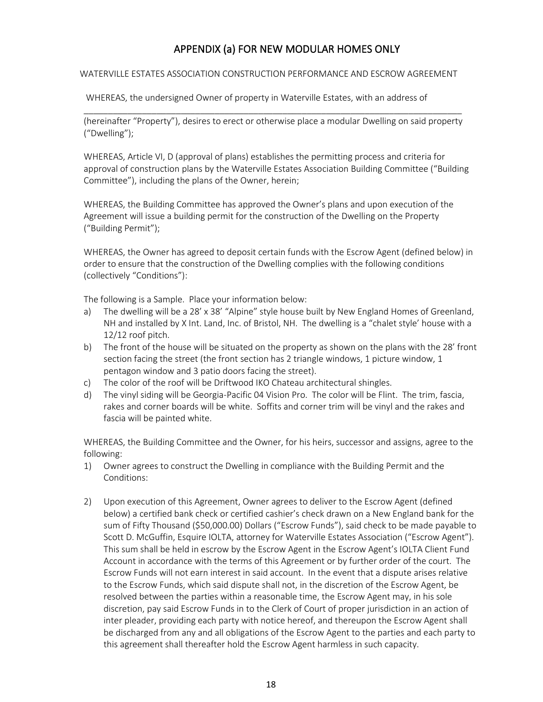### APPENDIX (a) FOR NEW MODULAR HOMES ONLY

#### WATERVILLE ESTATES ASSOCIATION CONSTRUCTION PERFORMANCE AND ESCROW AGREEMENT

WHEREAS, the undersigned Owner of property in Waterville Estates, with an address of

\_\_\_\_\_\_\_\_\_\_\_\_\_\_\_\_\_\_\_\_\_\_\_\_\_\_\_\_\_\_\_\_\_\_\_\_\_\_\_\_\_\_\_\_\_\_\_\_\_\_\_\_\_\_\_\_\_\_\_\_\_\_\_\_\_\_\_\_\_\_\_\_\_\_\_\_\_\_ (hereinafter "Property"), desires to erect or otherwise place a modular Dwelling on said property ("Dwelling");

WHEREAS, Article VI, D (approval of plans) establishes the permitting process and criteria for approval of construction plans by the Waterville Estates Association Building Committee ("Building Committee"), including the plans of the Owner, herein;

WHEREAS, the Building Committee has approved the Owner's plans and upon execution of the Agreement will issue a building permit for the construction of the Dwelling on the Property ("Building Permit");

WHEREAS, the Owner has agreed to deposit certain funds with the Escrow Agent (defined below) in order to ensure that the construction of the Dwelling complies with the following conditions (collectively "Conditions"):

The following is a Sample. Place your information below:

- a) The dwelling will be a 28' x 38' "Alpine" style house built by New England Homes of Greenland, NH and installed by X Int. Land, Inc. of Bristol, NH. The dwelling is a "chalet style' house with a 12/12 roof pitch.
- b) The front of the house will be situated on the property as shown on the plans with the 28' front section facing the street (the front section has 2 triangle windows, 1 picture window, 1 pentagon window and 3 patio doors facing the street).
- c) The color of the roof will be Driftwood IKO Chateau architectural shingles.
- d) The vinyl siding will be Georgia-Pacific 04 Vision Pro. The color will be Flint. The trim, fascia, rakes and corner boards will be white. Soffits and corner trim will be vinyl and the rakes and fascia will be painted white.

WHEREAS, the Building Committee and the Owner, for his heirs, successor and assigns, agree to the following:

- 1) Owner agrees to construct the Dwelling in compliance with the Building Permit and the Conditions:
- 2) Upon execution of this Agreement, Owner agrees to deliver to the Escrow Agent (defined below) a certified bank check or certified cashier's check drawn on a New England bank for the sum of Fifty Thousand (\$50,000.00) Dollars ("Escrow Funds"), said check to be made payable to Scott D. McGuffin, Esquire IOLTA, attorney for Waterville Estates Association ("Escrow Agent"). This sum shall be held in escrow by the Escrow Agent in the Escrow Agent's IOLTA Client Fund Account in accordance with the terms of this Agreement or by further order of the court. The Escrow Funds will not earn interest in said account. In the event that a dispute arises relative to the Escrow Funds, which said dispute shall not, in the discretion of the Escrow Agent, be resolved between the parties within a reasonable time, the Escrow Agent may, in his sole discretion, pay said Escrow Funds in to the Clerk of Court of proper jurisdiction in an action of inter pleader, providing each party with notice hereof, and thereupon the Escrow Agent shall be discharged from any and all obligations of the Escrow Agent to the parties and each party to this agreement shall thereafter hold the Escrow Agent harmless in such capacity.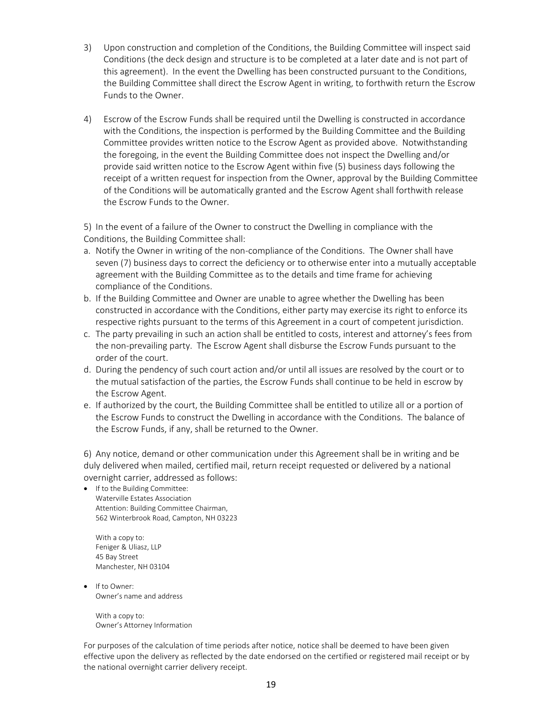- 3) Upon construction and completion of the Conditions, the Building Committee will inspect said Conditions (the deck design and structure is to be completed at a later date and is not part of this agreement). In the event the Dwelling has been constructed pursuant to the Conditions, the Building Committee shall direct the Escrow Agent in writing, to forthwith return the Escrow Funds to the Owner.
- 4) Escrow of the Escrow Funds shall be required until the Dwelling is constructed in accordance with the Conditions, the inspection is performed by the Building Committee and the Building Committee provides written notice to the Escrow Agent as provided above. Notwithstanding the foregoing, in the event the Building Committee does not inspect the Dwelling and/or provide said written notice to the Escrow Agent within five (5) business days following the receipt of a written request for inspection from the Owner, approval by the Building Committee of the Conditions will be automatically granted and the Escrow Agent shall forthwith release the Escrow Funds to the Owner.

5) In the event of a failure of the Owner to construct the Dwelling in compliance with the Conditions, the Building Committee shall:

- a. Notify the Owner in writing of the non-compliance of the Conditions. The Owner shall have seven (7) business days to correct the deficiency or to otherwise enter into a mutually acceptable agreement with the Building Committee as to the details and time frame for achieving compliance of the Conditions.
- b. If the Building Committee and Owner are unable to agree whether the Dwelling has been constructed in accordance with the Conditions, either party may exercise its right to enforce its respective rights pursuant to the terms of this Agreement in a court of competent jurisdiction.
- c. The party prevailing in such an action shall be entitled to costs, interest and attorney's fees from the non-prevailing party. The Escrow Agent shall disburse the Escrow Funds pursuant to the order of the court.
- d. During the pendency of such court action and/or until all issues are resolved by the court or to the mutual satisfaction of the parties, the Escrow Funds shall continue to be held in escrow by the Escrow Agent.
- e. If authorized by the court, the Building Committee shall be entitled to utilize all or a portion of the Escrow Funds to construct the Dwelling in accordance with the Conditions. The balance of the Escrow Funds, if any, shall be returned to the Owner.

6) Any notice, demand or other communication under this Agreement shall be in writing and be duly delivered when mailed, certified mail, return receipt requested or delivered by a national overnight carrier, addressed as follows:

• If to the Building Committee: Waterville Estates Association Attention: Building Committee Chairman, 562 Winterbrook Road, Campton, NH 03223

With a copy to: Feniger & Uliasz, LLP 45 Bay Street Manchester, NH 03104

• If to Owner: Owner's name and address

> With a copy to: Owner's Attorney Information

For purposes of the calculation of time periods after notice, notice shall be deemed to have been given effective upon the delivery as reflected by the date endorsed on the certified or registered mail receipt or by the national overnight carrier delivery receipt.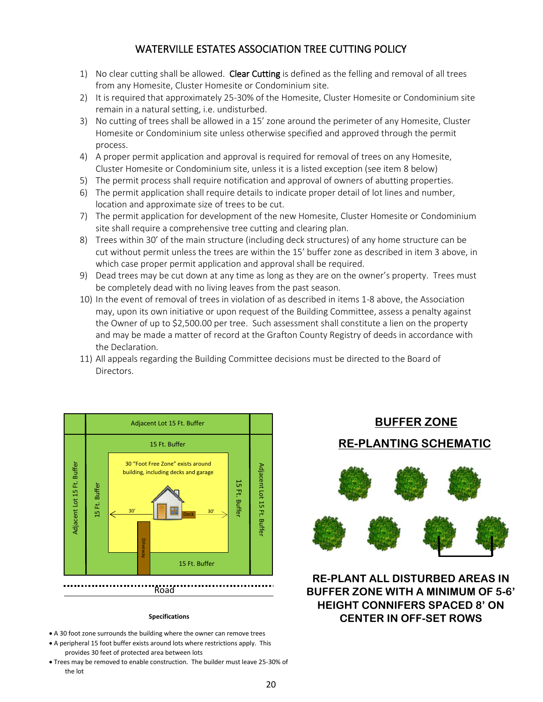### WATERVILLE ESTATES ASSOCIATION TREE CUTTING POLICY

- 1) No clear cutting shall be allowed. Clear Cutting is defined as the felling and removal of all trees from any Homesite, Cluster Homesite or Condominium site.
- 2) It is required that approximately 25-30% of the Homesite, Cluster Homesite or Condominium site remain in a natural setting, i.e. undisturbed.
- 3) No cutting of trees shall be allowed in a 15' zone around the perimeter of any Homesite, Cluster Homesite or Condominium site unless otherwise specified and approved through the permit process.
- 4) A proper permit application and approval is required for removal of trees on any Homesite, Cluster Homesite or Condominium site, unless it is a listed exception (see item 8 below)
- 5) The permit process shall require notification and approval of owners of abutting properties.
- 6) The permit application shall require details to indicate proper detail of lot lines and number, location and approximate size of trees to be cut.
- 7) The permit application for development of the new Homesite, Cluster Homesite or Condominium site shall require a comprehensive tree cutting and clearing plan.
- 8) Trees within 30' of the main structure (including deck structures) of any home structure can be cut without permit unless the trees are within the 15' buffer zone as described in item 3 above, in which case proper permit application and approval shall be required.
- 9) Dead trees may be cut down at any time as long as they are on the owner's property. Trees must be completely dead with no living leaves from the past season.
- 10) In the event of removal of trees in violation of as described in items 1-8 above, the Association may, upon its own initiative or upon request of the Building Committee, assess a penalty against the Owner of up to \$2,500.00 per tree. Such assessment shall constitute a lien on the property and may be made a matter of record at the Grafton County Registry of deeds in accordance with the Declaration.
- 11) All appeals regarding the Building Committee decisions must be directed to the Board of Directors.



#### **Specifications**

- A 30 foot zone surrounds the building where the owner can remove trees
- A peripheral 15 foot buffer exists around lots where restrictions apply. This provides 30 feet of protected area between lots
- Trees may be removed to enable construction. The builder must leave 25-30% of the lot

## **BUFFER ZONE**

### **RE-PLANTING SCHEMATIC**



### **RE-PLANT ALL DISTURBED AREAS IN BUFFER ZONE WITH A MINIMUM OF 5-6' HEIGHT CONNIFERS SPACED 8' ON CENTER IN OFF-SET ROWS**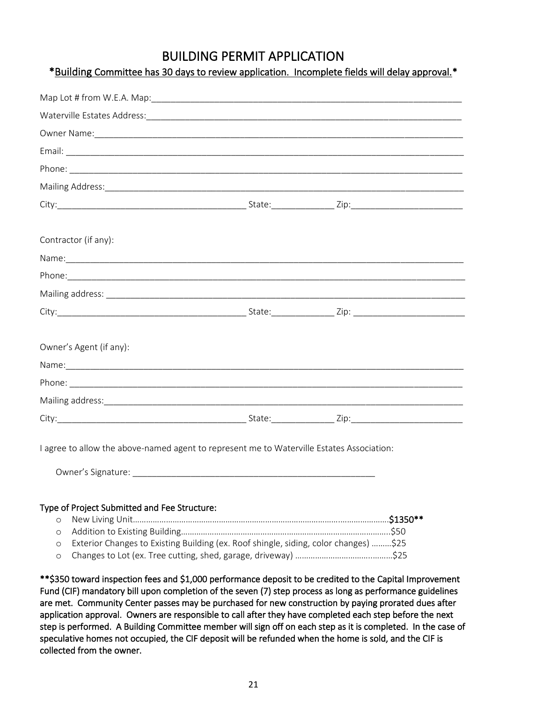### BUILDING PERMIT APPLICATION

| *Building Committee has 30 days to review application. Incomplete fields will delay approval.* |  |
|------------------------------------------------------------------------------------------------|--|
|------------------------------------------------------------------------------------------------|--|

| Owner Name: 1988 Communication of the Communication of the Communication of the Communication of the Communication of the Communication of the Communication of the Communication of the Communication of the Communication of |  |
|--------------------------------------------------------------------------------------------------------------------------------------------------------------------------------------------------------------------------------|--|
|                                                                                                                                                                                                                                |  |
|                                                                                                                                                                                                                                |  |
|                                                                                                                                                                                                                                |  |
|                                                                                                                                                                                                                                |  |
|                                                                                                                                                                                                                                |  |
| Contractor (if any):                                                                                                                                                                                                           |  |
|                                                                                                                                                                                                                                |  |
|                                                                                                                                                                                                                                |  |
|                                                                                                                                                                                                                                |  |
|                                                                                                                                                                                                                                |  |
|                                                                                                                                                                                                                                |  |
| Owner's Agent (if any):                                                                                                                                                                                                        |  |
|                                                                                                                                                                                                                                |  |
|                                                                                                                                                                                                                                |  |
|                                                                                                                                                                                                                                |  |
|                                                                                                                                                                                                                                |  |
| I agree to allow the above-named agent to represent me to Waterville Estates Association:                                                                                                                                      |  |

Owner's Signature: \_\_\_\_\_\_\_\_\_\_\_\_\_\_\_\_\_\_\_\_\_\_\_\_\_\_\_\_\_\_\_\_\_\_\_\_\_\_\_\_\_\_\_\_\_\_\_\_\_\_

#### Type of Project Submitted and Fee Structure:

| o Exterior Changes to Existing Building (ex. Roof shingle, siding, color changes) \$25 |  |
|----------------------------------------------------------------------------------------|--|
|                                                                                        |  |

\*\*\$350 toward inspection fees and \$1,000 performance deposit to be credited to the Capital Improvement Fund (CIF) mandatory bill upon completion of the seven (7) step process as long as performance guidelines are met. Community Center passes may be purchased for new construction by paying prorated dues after application approval. Owners are responsible to call after they have completed each step before the next step is performed. A Building Committee member will sign off on each step as it is completed. In the case of speculative homes not occupied, the CIF deposit will be refunded when the home is sold, and the CIF is collected from the owner.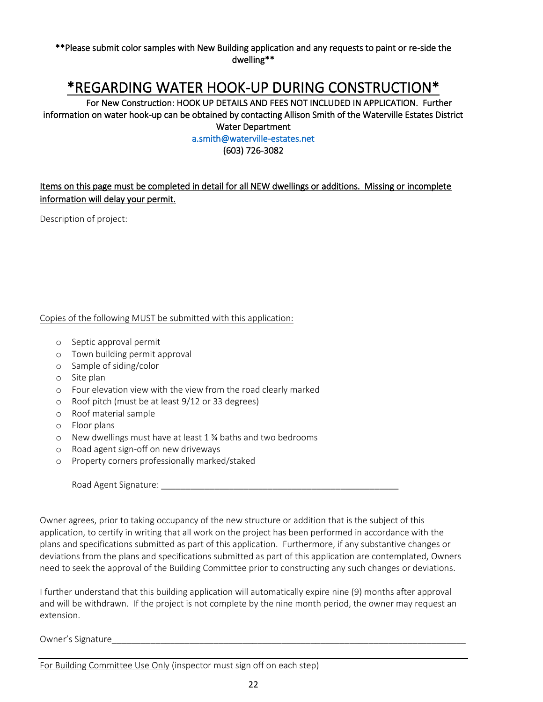#### \*\*Please submit color samples with New Building application and any requests to paint or re-side the dwelling\*\*

## \*REGARDING WATER HOOK-UP DURING CONSTRUCTION\*

 For New Construction: HOOK UP DETAILS AND FEES NOT INCLUDED IN APPLICATION. Further information on water hook-up can be obtained by contacting Allison Smith of the Waterville Estates District Water Department

[a.smith@waterville-estates.net](mailto:a.smith@waterville-estates.net) 

(603) 726-3082

### Items on this page must be completed in detail for all NEW dwellings or additions. Missing or incomplete information will delay your permit.

Description of project:

### Copies of the following MUST be submitted with this application:

- o Septic approval permit
- o Town building permit approval
- o Sample of siding/color
- o Site plan
- o Four elevation view with the view from the road clearly marked
- o Roof pitch (must be at least 9/12 or 33 degrees)
- o Roof material sample
- o Floor plans
- o New dwellings must have at least 1 ¾ baths and two bedrooms
- o Road agent sign-off on new driveways
- o Property corners professionally marked/staked

Road Agent Signature:

Owner agrees, prior to taking occupancy of the new structure or addition that is the subject of this application, to certify in writing that all work on the project has been performed in accordance with the plans and specifications submitted as part of this application. Furthermore, if any substantive changes or deviations from the plans and specifications submitted as part of this application are contemplated, Owners need to seek the approval of the Building Committee prior to constructing any such changes or deviations.

I further understand that this building application will automatically expire nine (9) months after approval and will be withdrawn. If the project is not complete by the nine month period, the owner may request an extension.

Owner's Signature

For Building Committee Use Only (inspector must sign off on each step)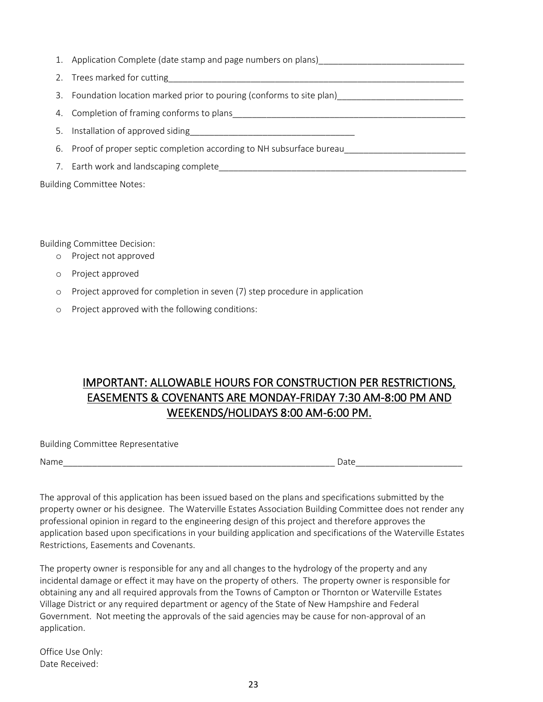- 1. Application Complete (date stamp and page numbers on plans)
- 2. Trees marked for cutting
- 3. Foundation location marked prior to pouring (conforms to site plan)
- 4. Completion of framing conforms to plans\_\_\_\_\_\_\_\_\_\_\_\_\_\_\_\_\_\_\_\_\_\_\_\_\_\_\_\_\_\_\_\_\_\_\_\_\_\_\_\_\_\_\_\_\_\_\_\_
- 5. Installation of approved siding
- 6. Proof of proper septic completion according to NH subsurface bureau
- 7. Earth work and landscaping complete

Building Committee Notes:

Building Committee Decision:

- o Project not approved
- o Project approved
- o Project approved for completion in seven (7) step procedure in application
- o Project approved with the following conditions:

### IMPORTANT: ALLOWABLE HOURS FOR CONSTRUCTION PER RESTRICTIONS, EASEMENTS & COVENANTS ARE MONDAY-FRIDAY 7:30 AM-8:00 PM AND WEEKENDS/HOLIDAYS 8:00 AM-6:00 PM.

Building Committee Representative

| u<br>a |
|--------|
|--------|

 $\Box$  Date

The approval of this application has been issued based on the plans and specifications submitted by the property owner or his designee. The Waterville Estates Association Building Committee does not render any professional opinion in regard to the engineering design of this project and therefore approves the application based upon specifications in your building application and specifications of the Waterville Estates Restrictions, Easements and Covenants.

The property owner is responsible for any and all changes to the hydrology of the property and any incidental damage or effect it may have on the property of others. The property owner is responsible for obtaining any and all required approvals from the Towns of Campton or Thornton or Waterville Estates Village District or any required department or agency of the State of New Hampshire and Federal Government. Not meeting the approvals of the said agencies may be cause for non-approval of an application.

Office Use Only: Date Received: